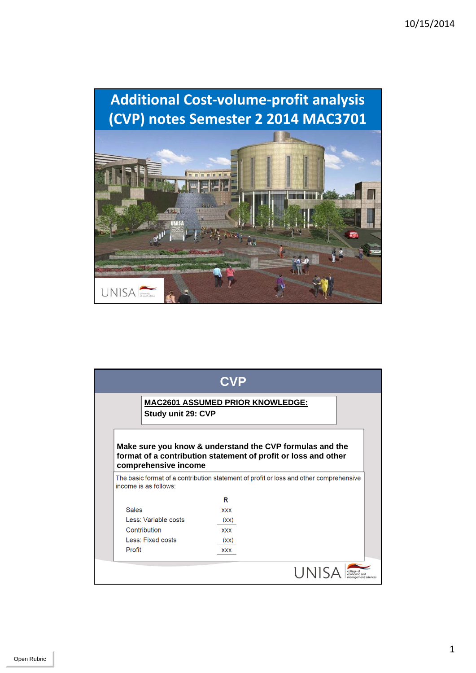

| Study unit 29: CVP       | <b>MAC2601 ASSUMED PRIOR KNOWLEDGE:</b>                                                                                                                  |  |
|--------------------------|----------------------------------------------------------------------------------------------------------------------------------------------------------|--|
|                          | Make sure you know & understand the CVP formulas and the                                                                                                 |  |
| comprehensive income     | format of a contribution statement of profit or loss and other<br>The basic format of a contribution statement of profit or loss and other comprehensive |  |
| income is as follows:    |                                                                                                                                                          |  |
|                          | R                                                                                                                                                        |  |
| <b>Sales</b>             | <b>XXX</b>                                                                                                                                               |  |
| Less: Variable costs     | (xx)                                                                                                                                                     |  |
| Contribution             | <b>XXX</b>                                                                                                                                               |  |
| <b>Less: Fixed costs</b> | (xx)                                                                                                                                                     |  |

1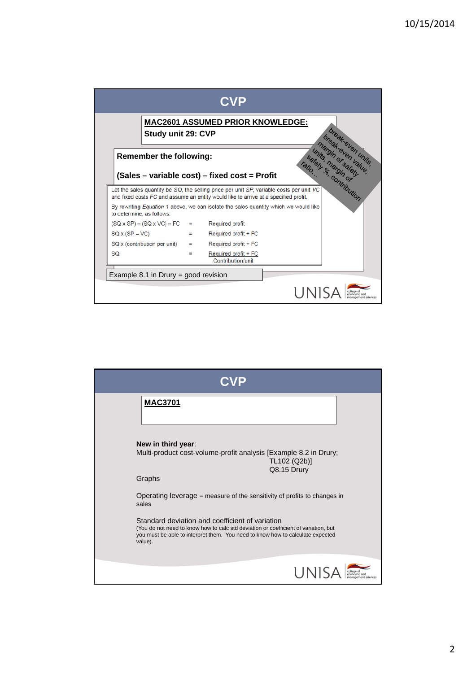| Study unit 29: CVP                                                                                                                                                                                                                                                                                         |     | <b>MAC2601 ASSUMED PRIOR KNOWLEDGE:</b>   |      |  |
|------------------------------------------------------------------------------------------------------------------------------------------------------------------------------------------------------------------------------------------------------------------------------------------------------------|-----|-------------------------------------------|------|--|
| break-even units<br>Introduced by the Control of Control of<br><b>Remember the following:</b><br>(Sales - variable cost) - fixed cost = Profit                                                                                                                                                             |     |                                           |      |  |
| Let the sales quantity be SQ, the selling price per unit SP, variable costs per unit VC<br>and fixed costs FC and assume an entity would like to arrive at a specified profit.<br>By rewriting <i>Equation 1</i> above, we can isolate the sales quantity which we would like<br>to determine, as follows: |     |                                           |      |  |
| $(SQ \times SP) - (SQ \times VC) - FC =$ Required profit                                                                                                                                                                                                                                                   |     |                                           |      |  |
| $SQX(SP-VC)$                                                                                                                                                                                                                                                                                               | $=$ | Required profit + FC                      |      |  |
| $SQ \times$ (contribution per unit)                                                                                                                                                                                                                                                                        | $=$ | Required profit + FC                      |      |  |
| <b>SQ</b>                                                                                                                                                                                                                                                                                                  |     | Required profit + FC<br>Contribution/unit |      |  |
| Example 8.1 in Drury = good revision                                                                                                                                                                                                                                                                       |     |                                           |      |  |
|                                                                                                                                                                                                                                                                                                            |     |                                           | UNIS |  |

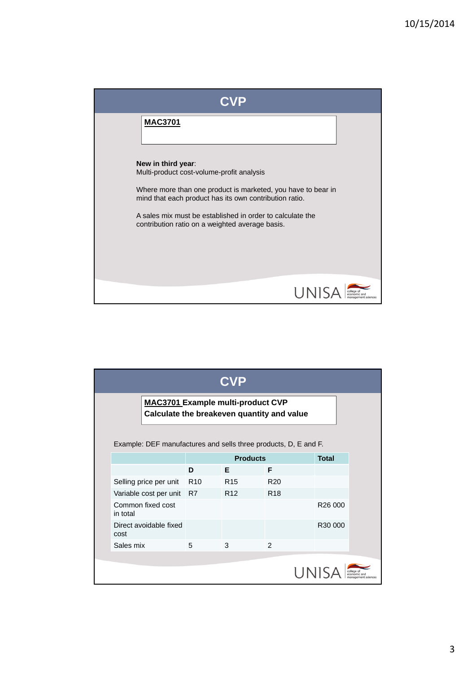

| <b>CVP</b>                                                                             |                                                                 |                 |                 |                 |              |  |
|----------------------------------------------------------------------------------------|-----------------------------------------------------------------|-----------------|-----------------|-----------------|--------------|--|
| <b>MAC3701 Example multi-product CVP</b><br>Calculate the breakeven quantity and value |                                                                 |                 |                 |                 |              |  |
|                                                                                        | Example: DEF manufactures and sells three products, D, E and F. |                 |                 |                 |              |  |
|                                                                                        |                                                                 | <b>Products</b> |                 |                 | <b>Total</b> |  |
|                                                                                        |                                                                 | D               | F               | F               |              |  |
|                                                                                        | Selling price per unit                                          | R <sub>10</sub> | R <sub>15</sub> | R <sub>20</sub> |              |  |
|                                                                                        | Variable cost per unit R7                                       |                 | R <sub>12</sub> | R <sub>18</sub> |              |  |
| in total                                                                               | Common fixed cost                                               |                 |                 |                 | R26 000      |  |
| cost                                                                                   | Direct avoidable fixed                                          |                 |                 |                 | R30 000      |  |
| Sales mix                                                                              |                                                                 | 5               | 3               | $\mathfrak{p}$  |              |  |
| UN                                                                                     |                                                                 |                 |                 |                 |              |  |